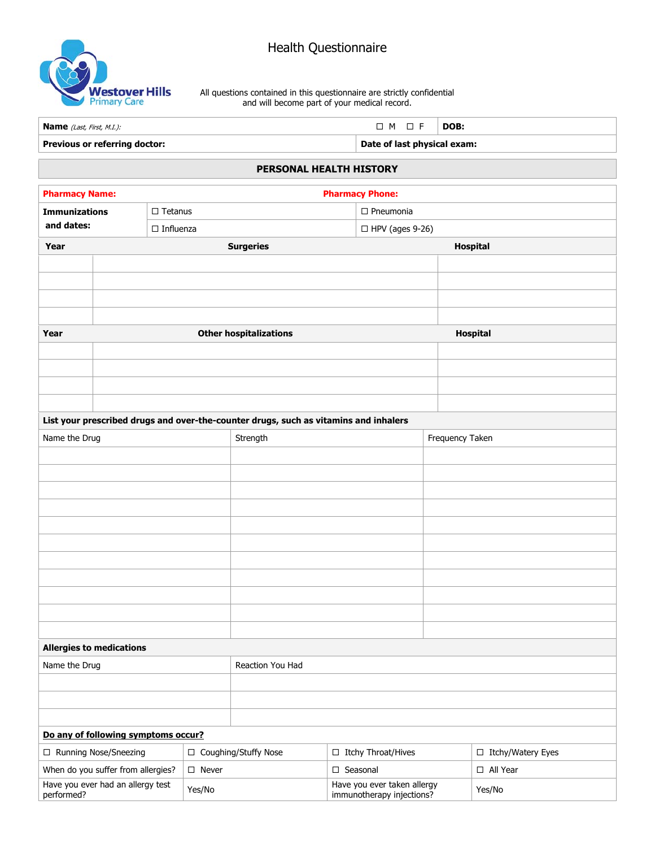

All questions contained in this questionnaire are strictly confidential and will become part of your medical record.

| Previous or referring doctor:    | Date of last physical exam:   |  |  |  |  |
|----------------------------------|-------------------------------|--|--|--|--|
| <b>Name</b> (Last, First, M.I.): | $\Box$ M $\Box$ F $\Box$ DOB: |  |  |  |  |

## **PERSONAL HEALTH HISTORY**

| <b>Pharmacy Name:</b><br><b>Pharmacy Phone:</b>                          |                                                                                      |                        |                               |                                                   |                      |                 |                                   |  |
|--------------------------------------------------------------------------|--------------------------------------------------------------------------------------|------------------------|-------------------------------|---------------------------------------------------|----------------------|-----------------|-----------------------------------|--|
| <b>Immunizations</b><br>$\Box$ Tetanus<br>and dates:<br>$\Box$ Influenza |                                                                                      |                        |                               |                                                   | $\Box$ Pneumonia     |                 |                                   |  |
|                                                                          |                                                                                      | $\Box$ HPV (ages 9-26) |                               |                                                   |                      |                 |                                   |  |
| Year                                                                     | <b>Surgeries</b>                                                                     |                        |                               |                                                   |                      | Hospital        |                                   |  |
|                                                                          |                                                                                      |                        |                               |                                                   |                      |                 |                                   |  |
|                                                                          |                                                                                      |                        |                               |                                                   |                      |                 |                                   |  |
|                                                                          |                                                                                      |                        |                               |                                                   |                      |                 |                                   |  |
|                                                                          |                                                                                      |                        |                               |                                                   |                      |                 |                                   |  |
| Year                                                                     |                                                                                      |                        | <b>Other hospitalizations</b> |                                                   |                      |                 | Hospital                          |  |
|                                                                          |                                                                                      |                        |                               |                                                   |                      |                 |                                   |  |
|                                                                          |                                                                                      |                        |                               |                                                   |                      |                 |                                   |  |
|                                                                          |                                                                                      |                        |                               |                                                   |                      |                 |                                   |  |
|                                                                          |                                                                                      |                        |                               |                                                   |                      |                 |                                   |  |
|                                                                          | List your prescribed drugs and over-the-counter drugs, such as vitamins and inhalers |                        |                               |                                                   |                      |                 |                                   |  |
| Name the Drug                                                            |                                                                                      |                        | Strength                      |                                                   |                      | Frequency Taken |                                   |  |
|                                                                          |                                                                                      |                        |                               |                                                   |                      |                 |                                   |  |
|                                                                          |                                                                                      |                        |                               |                                                   |                      |                 |                                   |  |
|                                                                          |                                                                                      |                        |                               |                                                   |                      |                 |                                   |  |
|                                                                          |                                                                                      |                        |                               |                                                   |                      |                 |                                   |  |
|                                                                          |                                                                                      |                        |                               |                                                   |                      |                 |                                   |  |
|                                                                          |                                                                                      |                        |                               |                                                   |                      |                 |                                   |  |
|                                                                          |                                                                                      |                        |                               |                                                   |                      |                 |                                   |  |
|                                                                          |                                                                                      |                        |                               |                                                   |                      |                 |                                   |  |
|                                                                          |                                                                                      |                        |                               |                                                   |                      |                 |                                   |  |
|                                                                          |                                                                                      |                        |                               |                                                   |                      |                 |                                   |  |
|                                                                          |                                                                                      |                        |                               |                                                   |                      |                 |                                   |  |
| <b>Allergies to medications</b>                                          |                                                                                      |                        |                               |                                                   |                      |                 |                                   |  |
| Name the Drug                                                            |                                                                                      |                        | Reaction You Had              |                                                   |                      |                 |                                   |  |
|                                                                          |                                                                                      |                        |                               |                                                   |                      |                 |                                   |  |
|                                                                          |                                                                                      |                        |                               |                                                   |                      |                 |                                   |  |
|                                                                          |                                                                                      |                        |                               |                                                   |                      |                 |                                   |  |
| Do any of following symptoms occur?<br>□ Coughing/Stuffy Nose            |                                                                                      |                        |                               |                                                   |                      |                 |                                   |  |
| □ Running Nose/Sneezing                                                  |                                                                                      | $\square$ Never        |                               |                                                   | □ Itchy Throat/Hives |                 | □ Itchy/Watery Eyes<br>□ All Year |  |
| When do you suffer from allergies?<br>Have you ever had an allergy test  |                                                                                      |                        |                               | $\square$ Seasonal<br>Have you ever taken allergy |                      |                 |                                   |  |
| performed?                                                               |                                                                                      | Yes/No                 |                               | immunotherapy injections?                         |                      |                 | Yes/No                            |  |